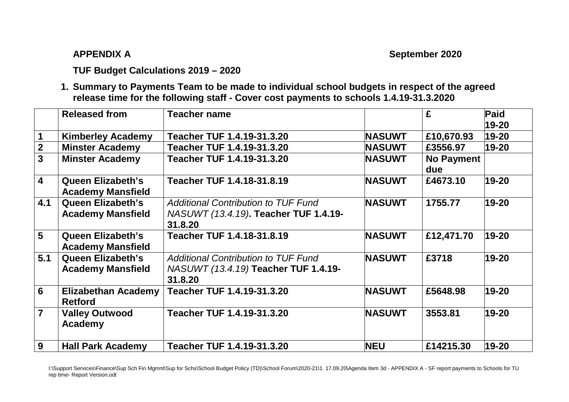**APPENDIX A September 2020** 

## **TUF Budget Calculations 2019 – 2020**

**1. Summary to Payments Team to be made to individual school budgets in respect of the agreed release time for the following staff - Cover cost payments to schools 1.4.19-31.3.2020** 

|                         | <b>Released from</b>                                 | <b>Teacher name</b>                                                                            |               | £                        | Paid      |
|-------------------------|------------------------------------------------------|------------------------------------------------------------------------------------------------|---------------|--------------------------|-----------|
|                         |                                                      |                                                                                                |               |                          | 19-20     |
| $\mathbf 1$             | <b>Kimberley Academy</b>                             | Teacher TUF 1.4.19-31.3.20                                                                     | <b>NASUWT</b> | £10,670.93               | 19-20     |
| $\mathbf{2}$            | <b>Minster Academy</b>                               | Teacher TUF 1.4.19-31.3.20                                                                     | <b>NASUWT</b> | £3556.97                 | $19 - 20$ |
| $\overline{3}$          | <b>Minster Academy</b>                               | Teacher TUF 1.4.19-31.3.20                                                                     | <b>NASUWT</b> | <b>No Payment</b><br>due |           |
| $\overline{\mathbf{4}}$ | <b>Queen Elizabeth's</b><br><b>Academy Mansfield</b> | Teacher TUF 1.4.18-31.8.19                                                                     | <b>NASUWT</b> | £4673.10                 | 19-20     |
| 4.1                     | <b>Queen Elizabeth's</b><br><b>Academy Mansfield</b> | <b>Additional Contribution to TUF Fund</b><br>NASUWT (13.4.19). Teacher TUF 1.4.19-<br>31.8.20 | <b>NASUWT</b> | 1755.77                  | 19-20     |
| 5                       | <b>Queen Elizabeth's</b><br><b>Academy Mansfield</b> | Teacher TUF 1.4.18-31.8.19                                                                     | <b>NASUWT</b> | £12,471.70               | 19-20     |
| 5.1                     | <b>Queen Elizabeth's</b><br><b>Academy Mansfield</b> | <b>Additional Contribution to TUF Fund</b><br>NASUWT (13.4.19) Teacher TUF 1.4.19-<br>31.8.20  | <b>NASUWT</b> | £3718                    | 19-20     |
| 6                       | <b>Elizabethan Academy</b><br><b>Retford</b>         | Teacher TUF 1.4.19-31.3.20                                                                     | <b>NASUWT</b> | £5648.98                 | 19-20     |
| $\overline{7}$          | <b>Valley Outwood</b><br><b>Academy</b>              | Teacher TUF 1.4.19-31.3.20                                                                     | <b>NASUWT</b> | 3553.81                  | 19-20     |
| 9                       | <b>Hall Park Academy</b>                             | Teacher TUF 1.4.19-31.3.20                                                                     | <b>NEU</b>    | £14215.30                | 19-20     |